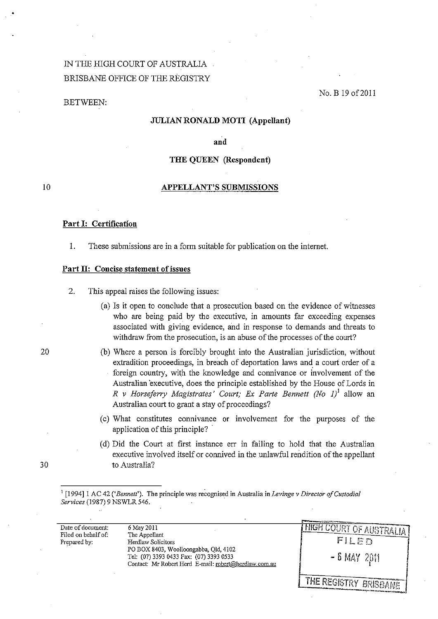# IN THE HIGH COURT OF AUSTRALIA BRISBANE OFFICE OF THE REGISTRY

## BETWEEN:

No. B 19 of 2011

## **JULIAN RONALD MOT! (Appellant)**

**and** 

## **THE QDEEN (Respondent)**

#### 10

# **APPELLANT'S SUBMISSIONS**

#### **Part I: Certification**

1. These submissions are in a form suitable for publication on the interne!.

#### Part II: Concise statement of issues

- 2. This appeal raises the following issues:
	- (a) Is it open to conclude that a prosecution based on the evidence of witnesses who are being paid by the executive, in amounts far exceeding expenses associated with giving evidence, and in response to demands and threats to withdraw from the prosecution, is an abuse of the processes of the court?
	- (b) Where a person is forcibly brought into the Australian jurisdiction, without extradition proceedings, in breach of deportation laws and a court order of a foreign country, with the knowledge and connivance or involvement of the Australian 'executive, does the principle established by the House of Lords in *R v Horseferry Magistrates' Court; Ex Parte Bennett (No 1)*<sup>1</sup> allow an Australian court to grant a stay of proceedings?
	- (c) What constitutes connivance or involvement for the purposes of the application of this principle? .
	- (d) Did the Court at first instance err in failing to hold that the Australian executive involved itself or connived in the unlawful rendition of the appellant to Australia?

<sup>1</sup> [1994] 1 AC 42 *('Bennett'*). The principle was recognised in Australia in *Levinge v Director of Custodial Services* (1987) 9 NSWLR 546. .

|                                                          |                                                                                                                                                                                                | And the contract of the contract of the state of the contract of the contract of the contract of the contract of |
|----------------------------------------------------------|------------------------------------------------------------------------------------------------------------------------------------------------------------------------------------------------|------------------------------------------------------------------------------------------------------------------|
| Date of document:<br>Filed on behalf of:<br>Prepared by: | 6 May 2011<br>The Appellant<br>Herdlaw Solicitors<br>PO BOX 8403, Woolloongabba, Old, 4102<br>Tel: (07) 3393 0433 Fax: (07) 3393 0533<br>Contact: Mr Robert Herd E-mail: robert@herdlaw.com.au | <b>I FIGH COURT OF AUSTRALIA!</b><br>FILED<br>$-6$ MAY 2011                                                      |
|                                                          |                                                                                                                                                                                                | <b>I THE REGISTRY BRISBANE '</b><br>ABAL DEN KANADARA KABUPATEN MENGENTUK ANG U                                  |

20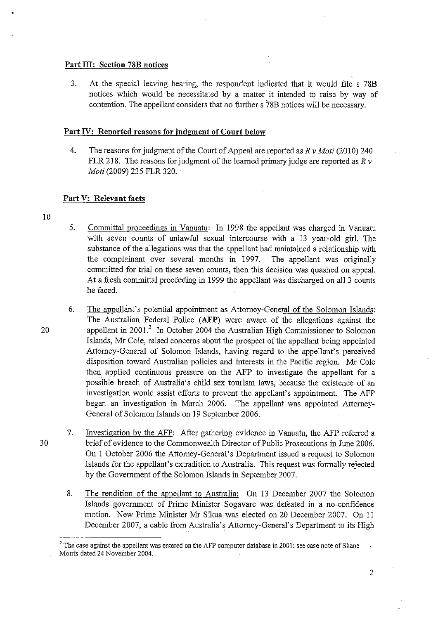## Part III: Section 78B notices

3. At the special leaving hearing, the respondent indicated that it would file s 78B notices which would be necessitated by a matter it intended to raise by way of contention. The appellant considers that no further s 78B notices will be necessary.

## Part IV: Reported reasons for judgment of Court below

4. The reasons for judgment of the Court of Appeal are reported as *R* v *Moti* (2010) 240 FLR 218. The reasons for judgment of the learned primary judge are reported as *R* v *Moti* (2009) 235 FLR 320.

#### Part V: Relevant facts

10

5. Committal proceedings in Vanuatu: In 1998 the appellant was charged in Vanuatu with seven counts of unlawful sexual intercourse with a 13 year-old girl. The substance of the allegations was that the appellant had maintained a relationship with the complainant over several months in 1997. The appellant was originally committed for trial on these seven counts, then this decision was quashed on appeal. At a fresh committal proceeding in 1999 the appellant was discharged on all 3 counts he faced.

- 6. The appelIant's potential appointment as Attorney-General of the Solomon Islands: The Australian Federal Police (AFP) were aware of the allegations against the 20 appellant in 2001? In October 2004 the Australian High Commissioner to Solomon Islands, Mr Cole, raised concerns about the prospect of the appellant being appointed Attorney-General of Solomon Islands, having regard to the appellant's perceived disposition toward Australian policies and interests in the Pacific region. Mr Cole then applied continuous pressure on the AFP to investigate the appellant for a possible breach of Australia's child sex tourism laws, because the existence of an investigation would assist efforts to prevent the appellant's appointment. The AFP began an investigation in March 2006. The appellant was appointed Attorney-General of Solomon Islands on 19 September 2006.
- 7. Investigation by the AFP: After gathering evidence in Vanuatu, the AFP referred a 30 brief of evidence to the Commonwealth Director of Public Prosecutions in June 2006. On 1 October 2006 the Attorney-General's Department issued a request to Solomon Islands for the appellant's extradition to Australia. This request was formally rejected by the Government of the Solomon Islands in September 2007.
	- 8. The rendition of the appellant to Australia: On 13 December 2007 the Solomon Islands government of Prime Minister Sogavare was defeated in a no-confidence motion. New Prime Minister Mr Sikua was elected on 20 December 2007. On 11 December 2007, a cable from Australia's Attorney-General's Department to its High

<sup>&</sup>lt;sup>2</sup> The case against the appellant was entered on the AFP computer database in 2001: see case note of Shane Morris dated 24 November 2004.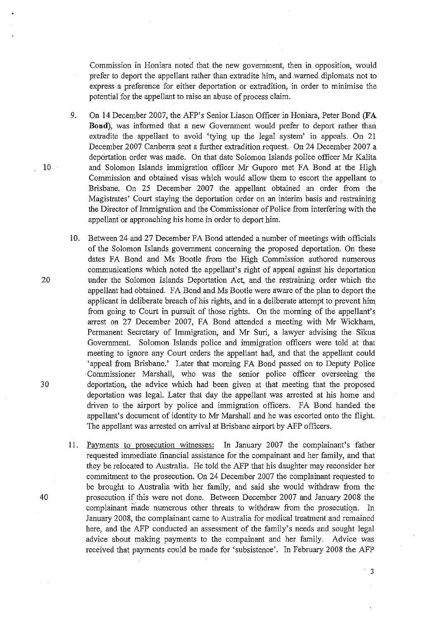Commission in Honiara noted that the new government, then in opposition, would prefer to deport the appellant rather than extradite him, and warned diplomats not to express a preference for either deportation or extradition, in order to minimise the potential for the appellant to raise an abuse of process claim.

9. On 14 December 2007, the AFP's Senior Liason Officer in Honiara, Peter Bond **(FA Bond),** was informed that a new Government would prefer to deport rather than extradite the appellant to avoid 'tying up the legal system' in appeals. On 21 December 2007 Canberra sent a further extradition request. On 24 December 2007 a deportation order was made. On that date Solomon Islands police officer Mr Kalita 10 and Solomon Islands immigration officer Mr Guporo met FA Bond at the High Commission and obtained visas which would allow them to escort the appellant to Brisbane. On 25 December 2007 the appellant obtained an order from the Magistrates' Court staying the deportation order on an interim basis and restraining the Director of Immigration and the Commissioner of Police from interfering with the appellant or approaching his home in order to deport him.

- 10. Between 24 and 27 December FA Bond attended a number of meetings with officials of the Solomon Islands government concerning the proposed deportation. On these dates FA Bond and Ms Bootle from the High Commission authored numerous communications which noted the appellant's right of appeal against his deportation 20 under the Solomon Islands Deportation Act, and the restraining order which the appellant had obtained. FA Bond and Ms Bootle were aware of the plan to deport the applicant in deliberate breach of his rights, and in a deliberate attempt to prevent him from going to Court in pursuit of those rights. On the morning of the appellant's arrest on 27 December 2007, FA Bond attended a meeting with Mr Wickham, Permanent Secretary of Immigration, and Mr Suri, a lawyer advising the Sikua Government. Solomon Islands police and immigration officers were told at that meeting to ignore any Court orders the appellant had, and that the appellant could 'appeal from Brisbane.' Later that morning FA Bond passed on to Deputy Police Commissioner Marshall, who was the senior police officer overseeing the 30 deportation, the advice which had been given at that meeting that the proposed deportation was legal. Later that day the appellant was arrested at his home and driven to the airport by police and immigration officers. FA Bond handed the appellant's document of identity to Mr Marshall and he was escorted onto the flight. The appellant was arrested on arrival at Brisbane airport by AFP officers.
- 11. Payments to prosecution witnesses: In January 2007 the complainant's father requested immediate financial assistance for the compainant and her family, and that they be relocated to Australia. He told the AFP that his daughter may reconsider her commitment to the prosecution. On 24 December 2007 the complainant requested to be brought to Australia with her family, and said she would withdraw from the 40 prosecution if this were not done. Between December 2007 and January 2008 the complainant made numerous other threats to withdraw from the prosecution. In January 2008, the complainant came to Australia for medical treatment and remained here, and the AFP conducted an assessment of the family's needs and sought legal advice about making payments to the compainant and her family. Advice was received that payments could be made for 'subsistence'. In February 2008 the AFP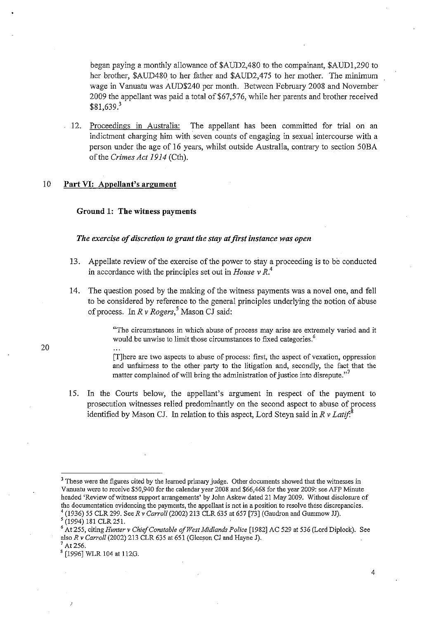began paying a monthly allowance of \$AUD2,480 to the compainant, \$AUD1,290 to her brother, \$AUD480 to her father and \$AUD2,475 to her mother. The minimum wage in Vanuatu was AUD\$240 per month. Between February 2008 and November 2009 the appellant was paid a total of \$67,576, while her parents and brother received \$81,639.<sup>3</sup>

12. Proceedings in Australia: The appellant has been committed for trial on an indictment charging him with seven counts of engaging in sexual intercourse with a person under the age of 16 years, whilst outside Australia, contrary to section 50BA of the *Crimes Act* 1914 (Cth).

#### 10 Part VI: Appellant's argument

#### Ground 1: The witness payments

## *The exercise of discretion to grant the stay at first instance was open*

- 13. Appellate review of the exercise of the power to stay a proceeding is to be conducted in accordance with the principles set out in *House* v *R.4*
- 14. The question posed by the making of the witness payments was a novel one, and fell to be considered by reference to the general principles underlying the notion of abuse of process. In *R* v *Rogers,5* Mason CJ said:

"The circumstances in which abuse of process may arise are extremely varied and it would be unwise to limit those circumstances to fixed categories.<sup>6</sup>

[TJhere are two aspects to abuse of process: first, the aspect of vexation, oppression and unfairness to the other party to the litigation and, secondly, the fact that the matter complained of will bring the administration of justice into disrepute. $\frac{7}{7}$ 

15. In the Courts below, the appellant's argument in respect of the payment to prosecution witnesses relied predominantly on the second aspect to abuse of process identified by Mason CJ. In relation to this aspect, Lord Steyn said in *R* v *Latif:8* 

<sup>&</sup>lt;sup>3</sup> These were the figures cited by the learned primary judge. Other documents showed that the witnesses in Vanuatu were to receive *\$50,940* for the calendar year 2008 and \$66,468 for the year 2009: see AFP Minute headed 'Review of witness support arrangements' by John Askew dated 21 May *2009.* Without disclosure of **the documentation evidencing the payments, the appellant is not in a position to resolve these discrepancies.**  4 (1936) 55 CLR 299. See *R* v *Carroll (2002)* 213 CLR 635 at 657 [73) (Gaudron and Gummow JJ).

<sup>5 (1994) 181</sup> CLR 251.

<sup>6</sup> At 255, citing *Hunter* v *Chief Constable of West Midlands Police* [1982) AC 529 at 536 (Lord Diplock). See also *R* v *Carroll* (2002) 213 CLR 635 at 651 (Gleeson CJ and Hayne J). At 256.

<sup>8 [1996]</sup> WLR 104 at 112G.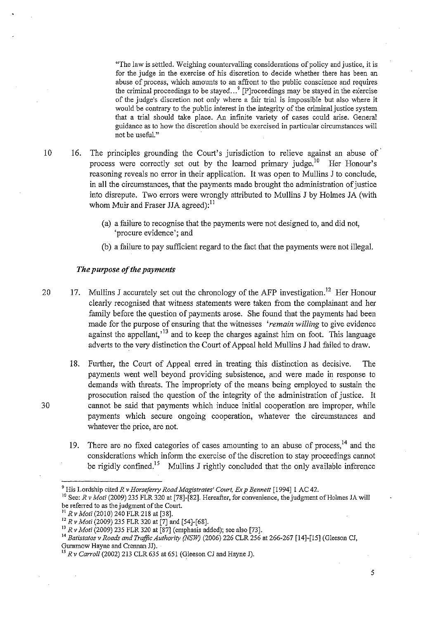"The law is settled. Weighing countervailing considerations of policy and justice, it is for the judge in the exercise of his discretion to decide whether there has been an abuse of process, which amounts to an affront to the public conscience and requires the criminal proceedings to be stayed ... ' [PJroceedings may be stayed in the exercise of the judge's discretion not only where a fair trial is impossible but also where it would be contrary to the public interest in the integrity of the criminal justice system that a trial should take place. An infinite variety of cases could arise. General guidance as to how the discretion should be exercised in particular circumstances will **not be useful."** 

- 10 16. The principles grounding the Court's jurisdiction to relieve against an abuse of process were correctly set out by the learned primary judge.<sup>10</sup> Her Honour's reasoning reveals no error in their application. It was open to Mullins J to conclude, in all the circumstances, that the payments made brought the administration of justice into disrepute. Two errors were wrongly attributed to Mullins J by Hohnes JA (with whom Muir and Fraser JJA agreed): $^{11}$ 
	- (a) a failure to recognise that the payments were not designed to, and did not, 'procure evidence'; and
	- (b) a failure to pay sufficient regard to the fact that the payments were not illegal.

#### *The purpose of the payments*

- 20 17. Mullins J accurately set out the chronology of the AFP investigation.<sup>12</sup> Her Honour clearly recognised that witness statements were taken from the complainant and her family before the question of payments arose. She found that the payments had been made for the purpose of ensuring that the witnesses *'remain willing* to give evidence against the appellant,<sup> $13$ </sup> and to keep the charges against him on foot. This language adverts to the very distinction the Court of Appeal held Mullins J had failed to draw.
- 18. Further, the Court of Appeal erred in treating this distinction as decisive. The payments went well beyond providing subsistence, and were made in response to demands with threats. The impropriety of the means being employed to sustain the prosecution raised the question of the integrity of the administration of justice. It 30 cannot be said that payments which induce initial cooperation are improper, while payments which secure ongoing cooperation, whatever the circumstances and whatever the price, are not.
	- 19. There are no fixed categories of cases amounting to an abuse of process.<sup>14</sup> and the considerations which inform the exercise of the discretion to stay proceedings cannot be rigidly confined.<sup>15</sup> Mullins J rightly concluded that the only available inference

<sup>&</sup>lt;sup>9</sup> His Lordship cited *R v Horseferry Road Magistrates' Court, Ex p Bennett* [1994] 1 AC 42.

<sup>&</sup>lt;sup>10</sup> See: *R v Moti* (2009) 235 FLR 320 at [78]-[82]. Hereafter, for convenience, the judgment of Holmes JA will be referred to as the judgment of the Court.

<sup>&</sup>lt;sup>11</sup> R v Moti (2010) 240 FLR 218 at [38].

<sup>12</sup>*R* v *Moli* (2009) 235 FLR 320 at [7] and [54]-[68].

<sup>&</sup>lt;sup>13</sup> *R v Moti* (2009) 235 FLR 320 at [87] (emphasis added); see also [73].

*<sup>14</sup> Batistatos* v *Roads and Traffic Authority (NSW)* (2006) 226 CLR 256 at 266-267 [14]-[15] (Gleeson CJ, Gummow Hayne and Crennan JJ).

<sup>15</sup>*Rv Carroll* (2002) 213 CLR 635 at 651 (Gleeson CJ and Hayne J).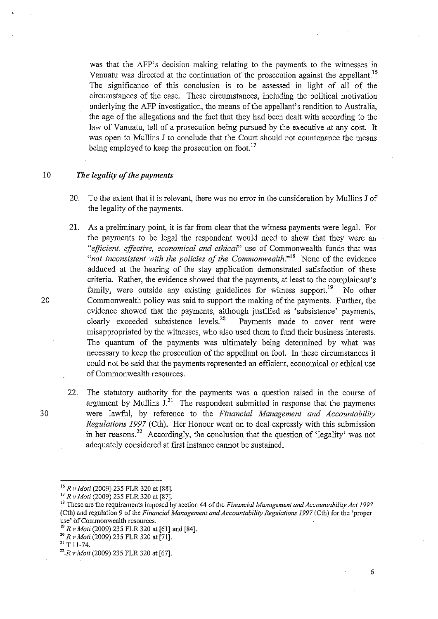was that the AFP's decision making relating to the payments to the witnesses in Vanuatu was directed at the continuation of the prosecution against the appellant.<sup>16</sup> The significance of this conclusion is to be assessed in light of all of the circumstauces of the case. These circumstances, including the political motivation underlying the AFP investigation, the means of the appellant's rendition to Australia, the age of the allegations aud the fact that they had been dealt with according to the law of Vanuatu, tell of a prosecution being pursued by the executive at any cost. It was open to Mullins J to conclude that the Court should not countenance the means being employed to keep the prosecution on foot.<sup>17</sup>

## <sup>10</sup>*The legality of the payments*

- 20. To the extent that it is relevant, there was no error in the consideration by Mullins J of the legality of the payments.
- 21. As a preliminary point, it is far from clear that the witness payments were legal. For the payments to be legal the respondent would need to show that they were an *"efficient, effective, economical and ethical"* use of Commonwealth funds that was *not inconsistent with the policies of the Commonwealth.*<sup>18</sup> None of the evidence adduced at the hearing of the stay application demonstrated satisfaction of these criteria. Rather, the evidence showed that the payments, at least to the complainaut's family, were outside any existing guidelines for witness support.<sup>19</sup> No other 20 Commonwealth policy was said to support the making of the payments. Further, the evidence showed that the payments, although justified as 'subsistence' payments, clearly exceeded subsistence levels.<sup>20</sup> Payments made to cover rent were misappropriated by the witnesses, who also used them to fund their business interests. The quantum of the payments was ultimately being determined by what was necessary to keep the prosecution of the appellant on foot. In these circumstauces it could not be said that the payments represented an efficient, economical or ethical use of Commonwealth resources.
- 22. The statutory authority for the payments was a question raised in the course of argument by Mullins  $J<sup>21</sup>$ . The respondent submitted in response that the payments 30 were lawful, by reference to the *Financial Management and Accountability Regulations* 1997 (Cth). Her Honour went on to deal expressly with this submission in her reasons?2 Accordingly, the conclusion that the question of 'legality' was not adequately considered at first instance cannot be sustained.

<sup>16</sup>*R* v *Moti* (2009) 235 FLR 320 at [88].

<sup>17</sup>*R v Moti* (2009) 235 FLR 320 at [87].

<sup>&</sup>lt;sup>18</sup> These are the requirements imposed by section 44 of the *Financial Management and Accountability Act 1997* (Cth) and regulation 9 *of* the *Financial Management and Accountability Regulations* 1997 (Cth) for the 'proper **use' of Commonwealth resources.** 

*<sup>19</sup> R v Moti* (2009) 235 FLR 320 at [61] and [84].

<sup>20</sup>*R v Moti* (2009) 235 FLR 320 at [71].

 $21$  T 11-74.

*<sup>22.</sup>R v Mali* (2009) 235 FLR 320 at [67].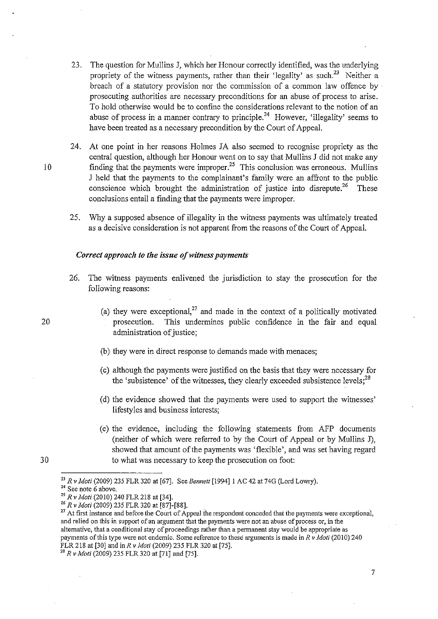- 23. The question for Mullins J, which her Honour correctly identified, was the underlying propriety of the witness payments, rather than their 'legality' as such.<sup>23</sup> Neither a breach of a statutory provision nor the commission of a common law offence by . prosecuting authorities are necessary preconditions for an abuse of process to arise. To hold otherwise would be to confme the considerations relevant to the notion of an abuse of process in a manner contrary to principle.<sup>24</sup> However, 'illegality' seems to have been treated as a necessary precondition by the Court of Appeal.
- 24. At one point in her reasons Hohnes JA also seemed to recognise propriety as the central question, although her Honour went on to say that Mullins J did not make any 10 finding that the payments were improper.<sup>25</sup> This conclusion was erroneous. Mullins J held that the payments to the complainant's family were an affront to the public conscience which brought the administration of justice into disrepute.<sup>26</sup> These conclusions entail a finding that the payments were improper.
	- 25. Why a supposed absence of illegality in the witness payments was ultimately treated as a decisive consideration is not apparent from the reasons of the Court of Appeal.

#### *Correct approach to the issue of witness payments*

- 26. The witness payments enlivened the jurisdiction to stay the prosecution for the following reasons:
	- (a) they were exceptional,<sup>27</sup> and made in the context of a politically motivated prosecution. This undermines public confidence in the fair and equal administration of justice;
	- (b) they were in direct response to demands made with menaces;
	- (c) although the payments were justified on the basis that they were necessary for the 'subsistence' of the witnesses, they clearly exceeded subsistence levels;<sup>28</sup>
	- (d) the evidence showed that the payments were used to support the witnesses' lifestyles and business interests;
	- (e) the evidence, including the following statements from AFP documents (neither of which were referred to by the Court of Appeal or by Mullins J), showed that amount of the payments was 'flexible', and was set having regard to what was necessary to keep the prosecution on foot:

20

<sup>23</sup>*Rv Mati* (2009) 235 FLR 320 at [67J. See *Bennett* [1994J 1 AC 42 at 74G (Lord Lowry).

**<sup>24</sup> See note 6 above.** 

<sup>25</sup>*R* v *Mati* (2010) 240 FLR 218 at [34J.

<sup>26</sup>*R* v *Mali* (2009) 235 FLR 320 at [87J-[88J.

<sup>&</sup>lt;sup>27</sup> At first instance and before the Court of Appeal the respondent conceded that the payments were exceptional, **and relied on this in support of an argument that the payments were not an abuse of process or, in the alternative, that a conditional stay** of proceedings **rather than a pennanent stay would be appropriate as**  payments of this type were not endemic. Some reference to these arguments is made in *R* v *Mati* (2010) 240 FLR 218 at [30] and in *R* v *Mati* (2009) 235 FLR 320 at [75J.

<sup>28</sup>*R* v *Mati* (2009) 235 FLR 320 at [71J and [75J.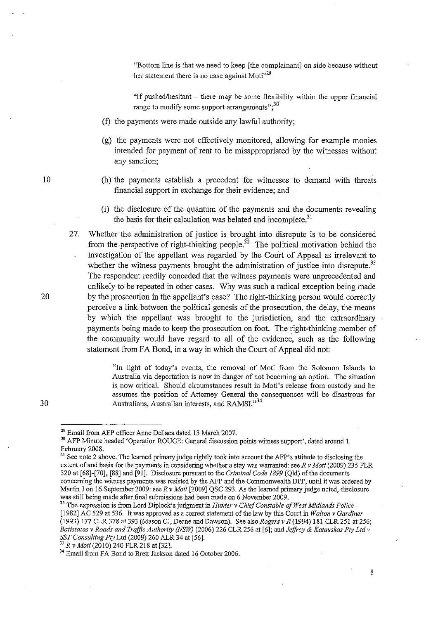"Bottom line is that we need to keep [the complainant] on side because without her statement there is no case against Moti<sup>129</sup>

"If pushed/hesitant  $-$  there may be some flexibility within the upper financial range to modify some support arrangements";<sup>30</sup>

- (f) the payments were made outside any lawful authority;
- (g) the payments were not effectively monitored, allowing for example monies intended for payment of rent to be misappropriated by the witnesses without any sanction;
- (h) the payments establish a precedent for witnesses to demand with threats financial support in exchange for their evidence; and
- (i) the disclosure of the quantum of the payments and the documents revealing the basis for their calculation was belated and incomplete.<sup>31</sup>
- 27. Whether the administration of justice is brought into disrepute is to be considered from the perspective of right-thinking people.<sup>32</sup> The political motivation behind the investigation of the appellant was regarded by the Court of Appeal as irrelevant to whether the witness payments brought the administration of justice into disrepute.<sup>33</sup> The respondent readily conceded that the witness payments were unprecedented and unlikely to be repeated in other cases. Why was such a radical exception being made 20 by the prosecution in the appellant's case? The right-thinking person would correctly perceive a link between the political genesis of the prosecution, the delay, the means by which the appellant was brought to the jurisdiction, and the extraordinary payments being made to keep the prosecution on foot. The right-thinking member of the community would have regard to all of the evidence, such as the following statement from FA Bond, in a way in which the Court of Appeal did not:

. "In light of today's events, the removal of Moti from the Solomon Islands to Australia via deportation is now in danger of not becoming an option. The situation is now critical. Should circumstances result in Moti's release from cnstody and he assumes the position of Attorney General the consequences will be disastrous for Australians, Australian interests, and RAMSI.<sup>34</sup>

10

30

<sup>29</sup> Email from AFP officer Anne Dellaca dated 13 March 2007.

<sup>30</sup> AFP Minute headed 'Operation ROUGE: General discussion points witness support', dated around 1 February 2008.

<sup>&</sup>lt;sup>31</sup> See note 2 above. The learned primary judge rightly took into account the AFP's attitude to disclosing the extent of and basis for the payments in considering whether a stay was warranted: see *R* v *Moti* (2009) 235 FLR 320 at [68]-[70], [88] and [91]. Disclosure pursuant to the *Criminal Code* 1899 (Qld) ofthe documents concerning the witness payments was resisted by the AFP and the Commonwealth DPP, until it was ordered by Martin J on 16 September 2009: see *R* v *Moti* [2009] QSC 293. As the learned primary judge noted, disclosure was still being made after final submissions had been made on 6 November 2009.

<sup>32</sup> The expression is from Lord Diplock's judgment in *Hunter* v *Chief Constable of West Midlands Police*  [1982] AC 529 at 536. It was approved as a correct statement of the law by this Court in *Walton* v *Cardiner*  (1993) 177 CLR 378 at 393 (Mason CJ, Deane and Dawson). See also *Rogers* v *R* (1994) 181 CLR 251 at 256; *Batistatos* v *Roads and Traffic Authority (NSW)* (2006) 226 CLR 256 at [6]; and *JejJi-ey* & *Katauskas Pty Ltd* v *SST Consulting Pty* Lld (2009) 260 ALR 34 at [56].

<sup>3</sup>J *R* v *Moti* (2010) 240 FLR 218 at[32].

<sup>&</sup>lt;sup>34</sup> Email from FA Bond to Brett Jackson dated 16 October 2006.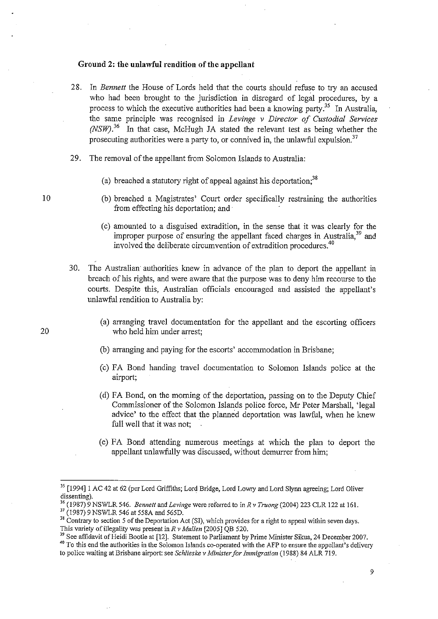## Ground 2: the unlawful rendition of the appellant

- 28. In *Bennett* the House of Lords held that the courts should refuse to try an accused who had been brought to the jurisdiction in disregard of legal procedures, by a process to which the executive authorities had been a knowing party.<sup>35</sup> In Australia, the same principle was recognised in *Levinge* v *Director of Custodial Services (NSW).36* In that case, McHugh JA stated the relevant test as being whether the prosecuting authorities were a party to, or connived in, the unlawful expulsion.<sup>37</sup>
- 29. The removal of the appellant from Solomon Islands to Australia:
	- (a) breached a statutory right of appeal against his deportation:  $38$
	- (b) breached a Magistrates' Court order specifically restraining the authorities from effecting his deportation; and
	- (c) amounted to a disguised extradition, in the sense that it was clearly for the improper purpose of ensuring the appellant faced charges in Australia.<sup>39</sup> and involved the deliberate circumvention of extradition procedures.4o
- 30. The Australian authorities knew in advance of the plan to deport the appellant in breach of his rights, and were aware that the purpose was to deny him recourse to the courts. Despite this, Australian officials encouraged and assisted the appellant's unlawful rendition to Australia by:
- (a) arranging travel documentation for the appellant and the escorting officers 20 who held him under arrest;
	- (b) arranging and paying for the escorts' accommodation in Brisbane;
	- (c) FA Bond handing travel documentation to Solomon Islands police at the airport;
	- (d) FA Bond, on the morning of the deportation, passing on to the Deputy Chief Commissioner of the Solomon Islands police force, Mr Peter Marshall, 'legal advice' to the effect that the planned deportation was lawful, when he knew full well that it was not;
	- (e ) FA Bond attending numerous meetings at which the plan to deport the appellant unlawfully was discussed, without demurrer from him;

37 (1987) 9 NSWLR 546 at 558A and 565D.

<sup>&</sup>lt;sup>35</sup> [1994] 1 AC 42 at 62 (per Lord Griffiths; Lord Bridge, Lord Lowry and Lord Slynn agreeing; Lord Oliver dissenting).

<sup>36 (1987) 9</sup> NSWLR 546. *Bennett* and *Levinge* were referred to in *R v Truong* (2004) 223 CLR 122 at 16l.

<sup>&</sup>lt;sup>38</sup> Contrary to section 5 of the Deportation Act (SI), which provides for a right to appeal within seven days. This variety of illegality was present *inR v Mullen* [2005] QB 520.

<sup>&</sup>lt;sup>39</sup> See affidavit of Heidi Bootle at [12]. Statement to Parliament by Prime Minister Sikua, 24 December 2007.

**<sup>40</sup> To this end the authorities in the Solomon Islands co-operated with the AFP to ensure the appellant's delivery**  to police waiting at Brisbane airport: see *Schlieske v Minister for Immigration* (1988) 84 ALR 719.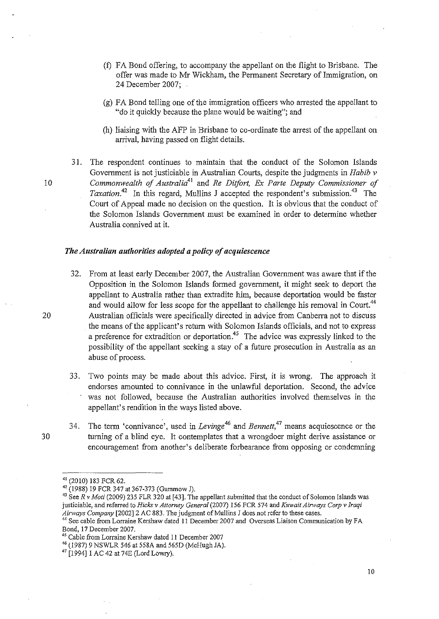- (f) FA Bond offering, to accompany the appellant on the flight to Brisbane. The offer was made to Mr Wickham, the Permanent Secretary of Immigration, on 24 December 2007;
- (g) FA Bond telling one of the immigration officers who arrested the appellant to "do it quickly because the plane would be waiting"; and
- (h) liaising with the AFP in Brisbane to co-ordinate the arrest of the appellant on arrival, having passed on flight details.
- 31. The respondent continues to maintain that the condnct of the Solomon Islands Government is not justiciable in Australian Courts, despite the judgments in *Habib v*  10 *Commonwealth of Australia41* and *Re Diifort, Ex Parte Deputy Commissioner of Taxation.*<sup>42</sup> In this regard, Mullins J accepted the respondent's submission.<sup>43</sup> The Court of Appeal made no decision on the question. It is obvious that the conduct of the Solomon Islands Government must be examined in order to determine whether Australia connived at it.

## *The Australian authorities adopted a policy of acquiescence*

- 32. From at least early December 2007, the Australian Government was aware that if the Opposition in the Solomon Islands formed government, it might seek to deport the appellant to Australia rather than extradite him, because deportation would be faster and would allow for less scope for the appellant to challenge his removal in Court.<sup>44</sup> 20 Australian officials were specifically directed in advice from Canberra not to discuss the means of the applicant's return with Solomon Islands officials, and not to express a preference for extradition or deportation.<sup>45</sup> The advice was expressly linked to the possibility of the appellant seeking a stay of a future prosecution in Australia as an abuse of process.
	- 33. Two points may be made about this advice. First, it is wrong. The approach it endorses amounted to connivance in the unlawful deportation. Second, the advice was not followed, because the Australian authorities involved themselves in the appellant's rendition in the ways listed above.
- 
- 34. The term 'connivance', used in *Levinge*<sup>46</sup> and *Bennett*,<sup>47</sup> means acquiescence or the 30 turning of a blind eye. It contemplates that a wrongdoer might derive assistance or encouragement from another's deliberate forbearance from opposing or condemning

<sup>41 (2010) 183</sup> FCR 62.

<sup>42 (1988) 19</sup> FCR 347 at 367-373 (Gummow J).

<sup>&</sup>lt;sup>43</sup> See *R v Moti* (2009) 235 FLR 320 at [43]. The appellant submitted that the conduct of Solomon Islands was justiciable, and referred to *Hicks* v *Attorney General* (2007) 156 FCR 574 and *Kuwait Airways Carp* v *Iraqi*  Airways Company [2002] 2 AC 883. The judgment of Mullins J does not refer to these cases.

<sup>44</sup>**See cable from Lorraine Kershaw dated 11 December 2007 and Overseas Liaison Communication by FA**  Bond, 17 December 2007.

Cable from Lorraine Kershaw dated 11 December 2007

<sup>&</sup>quot;(1987) 9 NSWLR 546 at *558A* and 565D (McHugh JA).

<sup>47 [1994]</sup> lAC 42 at 74E (Lord Lowry).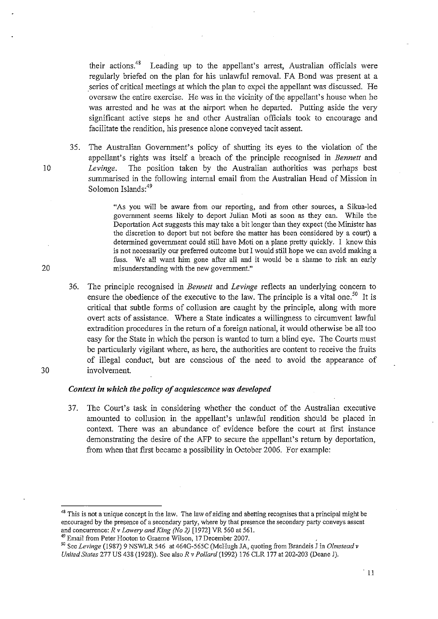their actions.<sup>48</sup> Leading up to the appellant's arrest, Australian officials were regularly briefed on the plau for his unlawful removal. FA Bond was present at a series of critical meetings at which the plan to expel the appellant was discussed. He oversaw the entire exercise. He was in the vicinity of the appellant's house when he was arrested and he was at the airport when he departed. Putting aside the very significant active steps he and other Australian officials took to encourage and facilitate the rendition, his presence alone conveyed tacit assent.

35. The Australian Government's policy of shutting its eyes to the violation of the appellant's rights was itself a breach of the principle recognised in *Bennett* and *10 Levinge.* The position taken by the Australian authorities was perhaps best summarised in the following internal email from the Australian Head of Mission in Solomon Islands:<sup>49</sup>

"As you will be aware from our reporting, and from other sources, a Sikua-led govermnent seems likely to deport Julian Moti as soon as they can. While the Deportation Act suggests this may take a bit longer than they expect (the Minister has the discretion to deport but not before the matter has been considered by a court) a determined govermnent could still have Moti on a plane pretty quickly. I know this is not necessarily our preferred outcome but I would still hope we can avoid making a fuss. We all want him gone after all and it would be a shame to risk an early 20 misunderstanding with the new government."

36. The principle recognised in *Bennett* and *Levinge* reflects an underlying concern to ensure the obedience of the executive to the law. The principle is a vital one.<sup>50</sup> It is critical that subtle forms of collusion are caught by the principle, along with more overt acts of assistance. Where a State indicates a willingness to circumvent lawful extradition procedures in the return of a foreign national, it would otherwise be all too easy for the State in which the person is wanted to turn a blind eye. The Courts must be particularly vigilant where, as here, the authorities are content to receive the fruits of illegal conduct, but are conscious of the need to avoid the appearance of 30 involvement.

## *Context in which the policy of acquiescence was developed*

37. The Court's task in considering whether the conduct of the Australian executive amounted to collusion in the appellant's unlawful rendition should be placed in context. There was an abundance of evidence before the court at first instance demonstrating the desire of the AFP to secure the appellant's return by deportation, from when that first became a possibility in October 2006. For example:

**<sup>48</sup> This is not a unique concept in the law. The law** of aiding **and abetting recognises that a principal might be encouraged by the presence of a secondary party, where by that presence the secondary party conveys assent**  and concurrence: *R* v *LOlVery and King (No* 2) [1972] VR 560 at 561.

<sup>&</sup>lt;sup>49</sup> Email from Peter Hooton to Graeme Wilson, 17 December 2007.

se See *Levinge* (1987) 9 NSWLR 546 at 464G-565C (McHugh JA, quoting from Brandeis J in *Olmstead* v *United States* 277 US 438 (1928)). See also *R v Pollord* (1992) 176 CLR 177 at 202-203 (Deane J).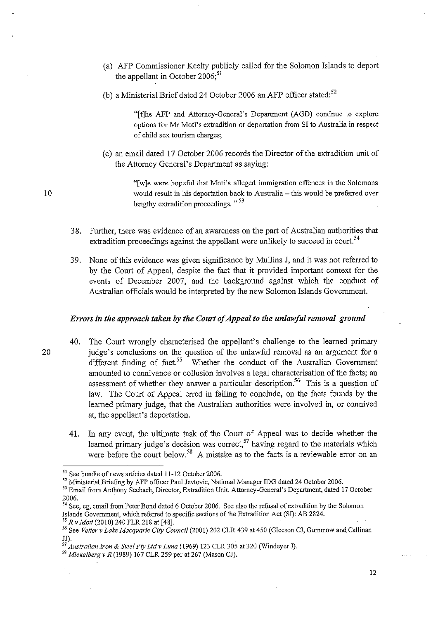- (a) AFP Commissioner Keelty publicly called for the Solomon Islands to deport the appellant in October  $2006$ ;<sup>51</sup>
- (b) a Ministerial Brief dated 24 October 2006 an AFP officer stated: $52$

"[tJhe AFP and Attorney-Genera!'s Department (AGD) continue to explore options for Mr Moti's extradition or deportation from SI to Australia in respect of child sex tourism charges;

(c) an email dated 17 October 2006 records the Director of the extradition unit of the Attorney General's Department as saying:

"[wJe were hopeful that Moti's alleged immigration offences in the Solomons 10 would result in his deportation back to Australia - this would be preferred over lengthy extradition proceedings. "53

- 38. Further, there was evidence of an awareness on the part of Australian authorities that extradition proceedings against the appellant were unlikely to succeed in court.<sup>54</sup>
- 39. None of this evidence was given significance by Mullins J, and it was not referred to by the Court of Appeal, despite the fact that it provided important context for the events of December 2007, and the background against which the conduct of Australian officials would be interpreted by the new Solomon Islands Government.

#### *Errors in the approach taken by the Court of Appeal to the unlawful removal ground*

- 40. The Court wrongly characterised the appellant's challenge to the learned primary 20 judge's conclusions on the question of the unlawful removal as an argument for a different finding of fact.<sup>55</sup> Whether the conduct of the Australian Government amounted to connivance or collusion involves a legal characterisation of the facts; an assessment of whether they answer a particular description.<sup>56</sup> This is a question of law. The Court of Appeal erred in failing to conclude, on the facts founds by the learned primary judge, that the Australian authorities were involved in, or connived at, the appellant's deportation.
	- 41. In any event, the ultimate task of the Court of Appeal was to decide whether the learned primary judge's decision was correct,<sup>57</sup> having regard to the materials which were before the court below.<sup>58</sup> A mistake as to the facts is a reviewable error on an

SI See bundle of news articles dated 11-12 October 2006.

<sup>52</sup> Ministerial Briefing by AFP officer Paul Jevtovic, National Manager IDG dated 24 October 2006.

<sup>53</sup> Email from Anthony Seebach, Director, Extradition Unit, Attorney-General's Department, dated 17 October 2006.

<sup>54</sup> See, eg, email from Peter Bond dated 6 October 2006. See also the refusal of extradition by the Solomon Islands Government, which referred to specific sections of the Extradition Act (SI): AB 2824.

<sup>&</sup>lt;sup>55</sup> R v *Moti* (2010) 240 FLR 218 at [48].

<sup>56</sup> See *Velter* v *Lake Macquarie City Council* (2001) 202 CLR 439 at 450 (Gleeson CJ, Gummow and Callinan JJ).

*<sup>57</sup> Australian Iron* & *Steel Pty Ltd v Luna* (1969) 123 CLR 305 at 320 (Windeyer J).

<sup>58</sup>*Mickelberg* v *R* (1989) 167 CLR 259 per at 267 (Mason CJ).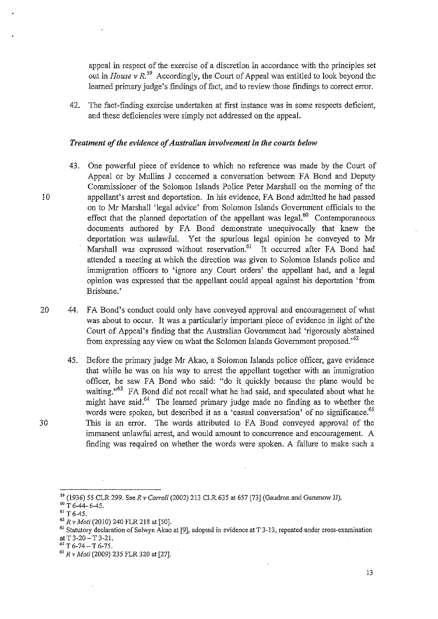appeal in respect of the exercise of a discretion in accordance with the principles set out in *House v R*<sup>59</sup> Accordingly, the Court of Appeal was entitled to look beyond the learned primary judge's findings of fact, and to review those findings to correct error.

42. The fact-finding exercise undertaken at first instance was in some respects deficient, and these deficiencies were simply not addressed on the appeal.

## *Treatment of the evidence of Australian involvement in the courts below*

- 43. One powerful piece of evidence to which no reference was made by the Court of Appeal or by Mullins J concerned a conversation between FA Bond and Deputy Commissioner of the Solomon Islands Police Peter Marshall on the morning of the 10 appellant's arrest and deportation. In his evidence, FA Bond admitted he had passed on to Mr Marshall 'legal advice' from Solomon Islands Government officials to the effect that the planned deportation of the appellant was legal.<sup>60</sup> Contemporaneous documents authored by FA Bond demonstrate unequivocally that knew the deportation was unlawful. Yet the spurious legal opinion he conveyed to Mr Marshall was expressed without reservation.<sup>61</sup> It occurred after FA Bond had attended a meeting at which the direction was given to Solomon Islands police and immigration officers to 'ignore any Court orders' the appellant had, and a legal opinion was expressed that the appellant could appeal against his deportation 'from Brisbane.'
- 20 44. FA Bond's conduct could only have conveyed approval and encouragement of what was about to occur. It was a particularly important piece of evidence in light of the Court of Appeal's finding that the Australian Government had 'rigorously abstained from expressing any view on what the Solomon Islands Government proposed.<sup>52</sup>
- 45. Before the primary judge Mr Akao, a Solomon Islands police officer, gave evidence that while he was on his way to arrest the appellant together with an immigration officer, he saw FA Bond who said: "do it quickly because the plane would be waiting."<sup>63</sup> FA Bond did not recall what he had said, and speculated about what he might have said.<sup>64</sup> The learned primary judge made no finding as to whether the words were spoken, but described it as a 'casual conversation' of no significance.<sup>65</sup> 30 This is an error. The words attributed to FA Bond conveyed approval of the immanent unlawful arrest, and would amount to concurrence and encouragement. A finding was required on whether the words were spoken. A failure to make such a

<sup>&</sup>lt;sup>59</sup> (1936) 55 CLR 299. See *R v Carroll* (2002) 213 CLR 635 at 657 [73] (Gaudron and Gummow JJ).

 $60$  T 6-44- 6-45.

 $61$  T 6-45.

<sup>62</sup>*R* v *Moti* (2010) 240 FLR 218 at [50].

<sup>&</sup>lt;sup>63</sup> Statutory declaration of Selwyn Akao at [9], adopted in evidence at T 3-13, repeated under cross-examination at T 3-20  $-$  T 3-21.

*<sup>&#</sup>x27;"'T6-74-T6-75.* 

*<sup>65</sup> R* v *Moti* (2009) 235 FLR 320 at [27].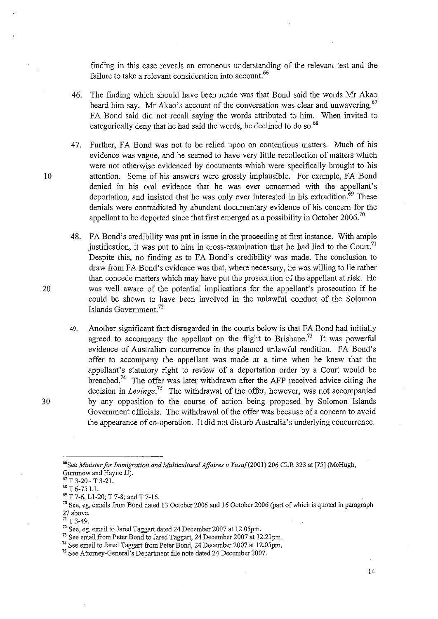finding in this case reveals an erroneous understanding of the relevant test and the failure to take a relevant consideration into account.<sup>66</sup>

- 46. The finding which should have been made was that Bond said the words Mr Akao heard him say. Mr Akao's account of the conversation was clear and unwavering.<sup>67</sup> FA Bond said did not recall saying the words attributed to him. When invited to categorically deny that he had said the words, he declined to do so.<sup>68</sup>
- 47. Further, FA Bond was not to be relied upon on contentious matters. Much of his evidence was vague, and he seemed to have very little recollection of matters which were not otherwise evidenced by documents which were specifically brought to his 10 attention. Some of his answers were grossly implausible. For example, FA Bond denied in his oral evidence that he was ever concerned with the appellant's deportation, and insisted that he was only ever interested in his extradition.<sup>69</sup> These denials were contradicted by abundant documentary evidence of his concern for the appellant to be deported since that first emerged as a possibility in October 2006.<sup>70</sup>
- 48. FA Bond's credibility was put in issue in the proceeding at first instance. With ample justification, it was put to him in cross-examination that he had lied to the Court.<sup>71</sup> Despite this, no finding as to FA Bond's credibility was made. The conclusion to draw from FA Bond's evidence was that, where necessary, he was willing to lie rather than concede matters which may have put the prosecution of the appellant at risk. He 20 was well aware of the potential implications for the appellant's prosecution if he could be shown to have been involved in the unlawful conduct of the Solomon Islands Government. 72
- 49. Another significant fact disregarded in the courts below is that FA Bond had initially agreed to accompany the appellant on the flight to Brisbane.<sup>73</sup> It was powerful evidence of Australian concurrence in the planned unlawful rendition. FA Bond's offer to accompany the appellant was made at a time when he knew that the appellant's statutory right to review of a deportation order by a Court would be breached.<sup>74</sup> The offer was later withdrawn after the AFP received advice citing the decision in *Levinge*.<sup>75</sup> The withdrawal of the offer, however, was not accompanied 30 by any opposition to the course of action being proposed by Solomon Islands Government officials. The withdrawal of the offer was because of a concern to avoid the appearance of co-operation. It did not disturb Australia's underlying concurrence.

<sup>&</sup>quot;See *Minister for Immigration and Multicultural Affaires* v *Yusuf(2001)* 206 CLR 323 at [75] (McHugh, Gummow and Hayne JJ).

 $67$  T 3-20 - T 3-21.

<sup>68</sup> T 6-75 Ll.

<sup>69</sup> T 7-6, Ll-20; T 7-8; and T 7-16.

<sup>&</sup>lt;sup>70</sup> See, eg, emails from Bond dated 13 October 2006 and 16 October 2006 (part of which is quoted in paragraph 27 above.

*n* T 3-49.

<sup>&</sup>lt;sup>72</sup> See, eg, email to Jared Taggart dated 24 December 2007 at 12.05pm.

<sup>&</sup>lt;sup>73</sup> See email from Peter Bond to Jared Taggart, 24 December 2007 at 12.21pm.

<sup>74</sup> See email to Jared Taggart from Peter Bond, 24 December 2007 at 12.05pm.

<sup>75</sup> See Attorney-General's Department file note dated 24 December 2007.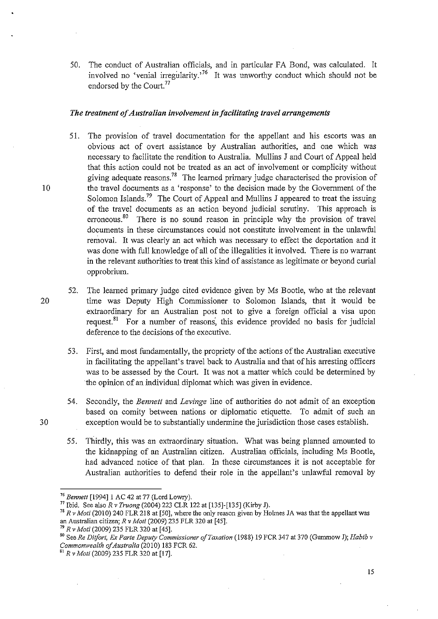50. The conduct of Australian officials, and in particular FA Bond, was calculated. It involved no 'venial irregularity.<sup>76</sup> It was unworthy conduct which should not be endorsed by the Court.<sup>77</sup>

## *The treatment of Australian involvement in facilitating travel arrangements*

- 51. The provision of travel documentation for the appellant and his escorts was an obvious act of overt assistance by Australian authorities, and one which was necessary to facilitate the rendition to Australia. Mullins J and Court of Appeal held that this action could not be treated as an act of involvement or complicity without giving adequate reasons.<sup>78</sup> The learned primary judge characterised the provision of 10 the travel documents as a 'response' to the decision made by the Government of the Solomon Islands.<sup>79</sup> The Court of Appeal and Mullins J appeared to treat the issuing of the travel documents as an action beyond judicial scrutiny. This approach is erroneous.<sup>80</sup> There is no sound reason in principle why the provision of travel documents in these circumstances could not constitute involvement in the unlawful removal. It was clearly an act which was necessary to effect the deportation and it was done with full knowledge of all of the illegalities it involved. There is no warrant in the relevant authorities to treat this kind of assistance as legitimate or beyond curial opprobrium.
- 52. The learned primary judge cited evidence given by Ms Bootle, who at the relevant 20 time was Deputy High Commissioner to Solomon Islands, that it would be extraordinary for an Australian post not to give a foreign official a visa upon request.<sup>81</sup> For a number of reasons, this evidence provided no basis for judicial deference to the decisions of the executive.
	- 53. First, and most fundamentally, the propriety of the actions of the Australian executive in facilitating the appellant's travel back to Australia and that of his arresting officers was to be assessed by the Court. It was not a matter which could be determined by the opinion of an individual diplomat which was given in evidence.
- 54. Secondly, the *Bennett* and *Levinge* line of authorities do not admit of an exception based on comity between nations or diplomatic etiquette. To admit of such an 30 exception would be to substantially undermine the jurisdiction those cases establish.
	- 55. Thirdly, this was an extraordinary situation. What was being planned amounted to the kidnapping of an Australian citizen. Australian officials, including Ms Bootle, had advanced notice of that plan. In these circumstances it is not acceptable for Australian authorities to defend their role in the appellant's unlawful removal by

<sup>&</sup>lt;sup>76</sup> Bennett [1994] 1 AC 42 at 77 (Lord Lowry).

<sup>77</sup>Ibid. See also *R* v *Truong* (2004) 223 CLR 122 at [135]-[135] (Kirby J).

<sup>&</sup>lt;sup>78</sup> R v Moti (2010) 240 FLR 218 at [50], where the only reason given by Holmes JA was that the appellant was

an Australian citizen; *R* v *Mali* (2009) 235 FLR 320 at [45].

*<sup>79</sup> R* v *Moti* (2009) 235 FLR 320 at [45].

<sup>80</sup> See *Re Dil/ort. Ex Parte Deputy Commissioner of Taxation* (1988) 19 FCR 347 at 370 (Gummow J); *Habib* v *Commonwealth of Australia* (2010) 183 FCR 62.

<sup>81</sup>*R* v *Moti* (2009) 235 FLR 320 at [17].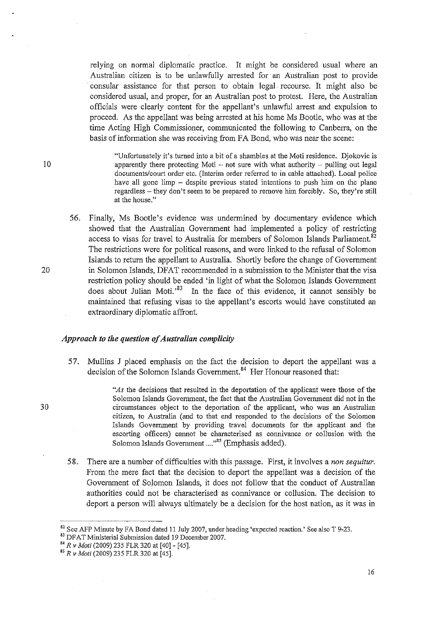relying on normal diplomatic practice. It might be considered usual where an Australian citizen is to be unlawfully arrested for· an Australian post to provide . consular assistance for that person to obtain legal recourse. It might also be considered usual, and proper, for an Australian post to protest. Here, the Australian officials were clearly content for the appellant's unlawful arrest and expulsion to proceed. As the appellant was being arrested at his home Ms Bootle, who was at the time Acting High Commissioner, communicated the following to Canberra, on the basis of information she was receiving from FA Bond, who was near the scene:

"Unfortunately it's turned into a bit of a shambles at the Moti residence. Djokovic is 10 apparently there protecting Moti – not sure with what authority – pulling out legal documents/court order etc. (Interim order referred to in cable attached). Local police have all gone limp  $-$  despite previous stated intentions to push him on the plane regardless - they don't seem to be prepared to remove him forcibly. So, they're still **at the house."** 

56. Finally, Ms Bootle's evidence was undermined by documentary evidence which showed that the Australian Government had implemented a policy of restricting access to visas for travel to Australia for members of Solomon Islands Parliament.<sup>82</sup> The restrictions were for political reasons, and were linked to the refusal of Solomon Islands to return the appellant to Australia. Shortly before the change of Government 20 in Solomon Islands, DFAT recommended in a submission to the Minister that the visa restriction policy should be ended 'in light of what the Solomon Islands Government does about Julian Moti.<sup>83</sup> In the face of this evidence, it cannot sensibly be maintained that refusing visas to the appellant's escorts would have constituted an extraordinary diplomatic affront.

## *Approach to the question of Australian complicity*

- 57. Mullins J placed emphasis on the fact the decision to deport the appellant was a decision of the Solomon Islands Government.<sup>84</sup> Her Honour reasoned that:
- *"As* the decisions that resulted in the deportation of the applicant were those of the Solomon Islands Government, the fact that the Australian Government did not in the 30 circumstances object to the deportation of the applicant, who was an Australian citizen, to Australia (and to that end responded to the decisions of the Solomon Islands Government by providing travel documents for the applicant and the escorting officers) cannot be characterised as connivance or collusion with the Solomon Islands Government ...."<sup>85</sup> (Emphasis added).
	- 58. There are a number of difficulties with this passage. First, it involves a *non sequitur.*  From the mere fact that the decision to deport the appellant was a decision of the Government of Solomon Islands, it does not follow that the conduct of Australian authorities could not be characterised as connivance or collusion. The decision to deport a person will always ultimately be a decision for the host nation, as it was in

83 DFAT Ministerial Submission dated 19 December 2007.

<sup>82</sup> See AFP Minute by FA Bond dated 11 July 2007, under heading 'expected reaction.' See also T 9-23.

*<sup>84</sup> R* v *Mali* (2009) 235 FLR 320 at [40]- [45].

<sup>85</sup>*R* v *Mati* (2009) 235 FLR 320 at [45].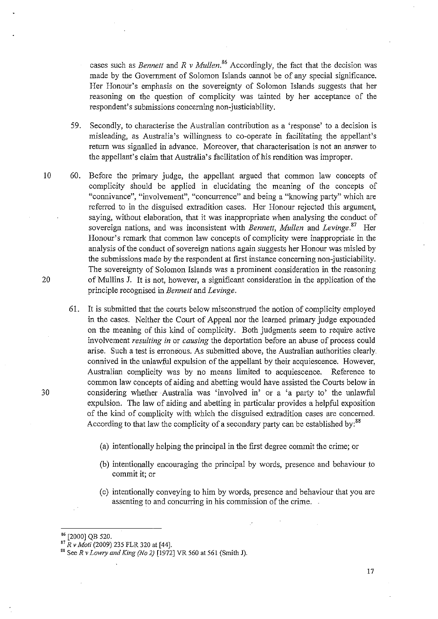cases such as *Bennett* and  $R$  *v Mullen.*<sup>86</sup> Accordingly, the fact that the decision was made by the Government of Solomon Islands cannot be of any special significance. Her Honour's emphasis on the sovereignty of Solomon Islands suggests that her reasoning on the question of complicity was tainted by her acceptance of the respondent's submissions concerning non-justiciability.

59. Secondly, to characterise the Australian contribution as a 'response' to a decision is misleading, as Australia's willingness to co-operate in facilitating the appellant's return was signalled in advance. Moreover, that characterisation is not an answer to the appellant's claim that Australia's facilitation of his rendition was improper.

- 10 60. Before the primary judge, the appellant argued that common law concepts of complicity should be applied in elucidating the meaning of the concepts of **"connivance", "involvement", "concurrence" and being a "knowing party" which are**  referred to in the disguised extradition cases. Her Honour rejected this argument, saying, without elaboration, that it was inappropriate when analysing the conduct of sovereign nations, and was inconsistent with *Bennett*, Mullen and Levinge.<sup>87</sup> Her Honour's remark that common law concepts of complicity were inappropriate in the analysis of the conduct of sovereign nations again suggests her Honour was misled by the submissions made by the respondent at first instance concerning non-justiciability. The sovereignty of Solomon Islands was a prominent consideration in the reasoning of Mullins J. It is not, however, a significant consideration in the application of the principle recognised in *Bennett* and *Levinge.*
- 61. It is submitted that the courts below misconstrued the notion of complicity employed in the cases. Neither the Court of Appeal nor the learned primary judge expounded on the meaning of this kind of complicity. Both judgments seem to require active involvement *resulting in* or *causing* the deportation before an abuse of process could arise. Such a test is erroneous. As submitted above, the Australian authorities clearly. connived in the unlawful expulsion of the appellant by their acquiescence. However, Australian complicity was by no means limited to acquiescence. Reference to common law concepts of aiding and abetting would have assisted the Courts below in 30 considering whether Australia was 'involved in' or a 'a party to' the unlawful expUlsion. The law of aiding and abetting in particular provides a helpful exposition of the kind of complicity with which the disgnised extradition cases are concerned. According to that law the complicity of a secondary party can be established by:<sup>88</sup>
	- (a) intentionally helping the principal in the first degree commit the crime; or
	- (b) intentionally encouraging the principal by words, presence and behaviour to commit it; or
	- (c) intentionally conveying to him by words, presence and behaviour that you are assenting to and concurring in his commission of the crime.

17

<sup>[2000]</sup> QB 520.

*<sup>87</sup> R v Moli* (2009) 235 FLR 320 at [44].

<sup>88</sup> See *R* v *Lowry and King (No* 2) [1972] VR 560 at 561 (Smith J).